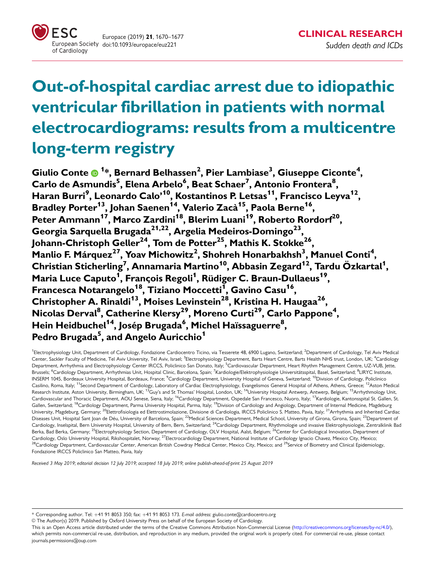

# Out-of-hospital cardiac arrest due to idiopathic ventricular fibrillation in patients with normal electrocardiograms: results from a multicentre long-term registry

Giulio Conte  $\bm{\Theta}$  <sup>1</sup>\*, Bernard Belhassen<sup>2</sup>, Pier Lambiase<sup>3</sup>, Giuseppe Ciconte<sup>4</sup>,  $\mathsf{Carlo}\ \mathsf{de}\ \mathsf{Asmundis}^5$ , Elena Arbelo $^6$ , Beat Schaer $^7$ , Antonio Frontera $^8,$ Haran Burri<sup>9</sup>, Leonardo Calo'<sup>10</sup>, Kostantinos P. Letsas<sup>11</sup>, Francisco Leyva<sup>12</sup>, Bradley Porter<sup>13</sup>, Johan Saenen<sup>14</sup>, Valerio Zacà<sup>15</sup>, Paola Berne<sup>16</sup>, Peter Ammann<sup>17</sup>, Marco Zardini<sup>18</sup>, Blerim Luani<sup>19</sup>, Roberto Rordorf<sup>20</sup>, Georgia Sarquella Brugada<sup>21,22</sup>, Argelia Medeiros-Domingo<sup>23</sup>, Johann-Christoph Geller<sup>24</sup>, Tom de Potter<sup>25</sup>, Mathis K. Stokke<sup>26</sup> Manlio F. Márquez<sup>27</sup>, Yoav Michowitz<sup>2</sup>, Shohreh Honarbakhsh<sup>3</sup>, Manuel Conti<sup>4</sup>,  $\mathsf{Christian}\ \mathsf{Sticherling}^7$ , Annamaria Martino $^{10}$ , Abbasin Zegard $^{12}$ , Tardu Özkartal $^1$ , Maria Luce Caputo<sup>1</sup>, François Regoli<sup>1</sup>, Rüdiger C. Braun-Dullaeus<sup>19</sup>, Francesca Notarangelo<sup>18</sup>, Tiziano Moccetti<sup>1</sup>, Gavino Casu<sup>16</sup>, Christopher A. Rinaldi<sup>13</sup>, Moises Levinstein<sup>28</sup>, Kristina H. Haugaa<sup>26</sup>, Nicolas Derval<sup>8</sup>, Catherine Klersy<sup>29</sup>, Moreno Curti<sup>29</sup>, Carlo Pappone<sup>4</sup>, Hein Heidbuchel<sup>14</sup>, Josép Brugada<sup>6</sup>, Michel Haïssaguerre<sup>8</sup>, Pedro Brugada<sup>5</sup>, and Angelo Auricchio<sup>1</sup>

<sup>1</sup>Electrophysiology Unit, Department of Cardiology, Fondazione Cardiocentro Ticino, via Tesserete 48, 6900 Lugano, Switzerland; <sup>2</sup>Department of Cardiology, Tel Aviv Medical Center, Sackler Faculty of Medicine, Tel Aviv University, Tel Aviv, Israel; <sup>3</sup>Electrophysiology Department, Barts Heart Centre, Barts Health NHS trust, London, UK; <sup>4</sup>Cardiology Department, Arrhythmia and Electrophysiology Center IRCCS, Policlinico San Donato, Italy; <sup>5</sup>Cardiovascular Department, Heart Rhythm Management Centre, UZ-VUB, Jette. Brussels; <sup>6</sup>Cardiology Department, Arrhythmias Unit, Hospital Clinic, Barcelona, Spain; <sup>7</sup>Kardiologie/Elektrophysiologie Universitätsspital, Basel, Switzerland; <sup>8</sup>LIRYC Institute. INSERM 1045, Bordeaux University Hospital, Bordeaux, France; <sup>9</sup>Cardiology Department, University Hospital of Geneva, Switzerland; <sup>10</sup>Division of Cardiology, Policlinico Casilino, Roma, Italy; <sup>11</sup>Second Department of Cardiology, Laboratory of Cardiac Electrophysiology, Evangelismos General Hospital of Athens, Athens, Greece; <sup>12</sup>Aston Medical Research Institute, Aston University, Birmingham, UK; <sup>13</sup>Guy's and St Thomas' Hospital, London, UK; <sup>14</sup>University Hospital Antwerp, Antwerp, Belgium; <sup>15</sup>Arrhythmology Unit, Cardiovascular and Thoracic Department, AOU Senese, Siena, Italy; <sup>16</sup>Cardiology Department, Ospedale San Francesco, Nuoro, Italy; <sup>17</sup>Kardiologie, Kantonsspital St. Gallen, St. Gallen, Switzerland; <sup>18</sup>Cardiology Department, Parma University Hospital, Parma, Italy; <sup>19</sup>Division of Cardiology and Angiology, Department of Internal Medicine, Magdeburg University, Magdeburg, Germany; <sup>20</sup>Elettrofisiologia ed Elettrostimolazione, Divisione di Cardiologia, IRCCS Policlinico S. Matteo, Pavia, Italy; <sup>21</sup>Arrhythmia and Inherited Cardiac Diseases Unit, Hospital Sant Joan de Déu, University of Barcelona, Spain; <sup>22</sup>Medical Sciences Department, Medical School, University of Girona, Girona, Spain; <sup>23</sup>Department of Cardiology, Inselspital, Bern University Hospital, University of Bern, Bern, Switzerland; <sup>24</sup>Cardiology Department, Rhythmologie und invasive Elektrophysiologie, Zentralklinik Bad Berka, Bad Berka, Germany; <sup>25</sup>Electrophysiology Section, Department of Cardiology, OLV Hospital, Aalst, Belgium; <sup>26</sup>Center for Cardiological Innovation, Department of Cardiology, Oslo University Hospital, Rikshospitalet, Norway; 27Electrocardiology Department, National Institute of Cardiology Ignacio Chavez, Mexico City, Mexico; 28Cardiology Department, Cardiovascular Center, American British Cowdray Medical Center, Mexico City, Mexico; and <sup>29</sup>Service of Biometry and Clinical Epidemiology, Fondazione IRCCS Policlinico San Matteo, Pavia, Italy

Received 3 May 2019; editorial decision 12 July 2019; accepted 18 July 2019; online publish-ahead-of-print 25 August 2019

\* Corresponding author. Tel: +41 91 8053 350; fax: +41 91 8053 173. E-mail address: giulio.conte@cardiocentro.org

V<sup>C</sup> The Author(s) 2019. Published by Oxford University Press on behalf of the European Society of Cardiology.

This is an Open Access article distributed under the terms of the Creative Commons Attribution Non-Commercial License (http://creativecommons.org/licenses/by-nc/4.0/), which permits non-commercial re-use, distribution, and reproduction in any medium, provided the original work is properly cited. For commercial re-use, please contact journals.permissions@oup.com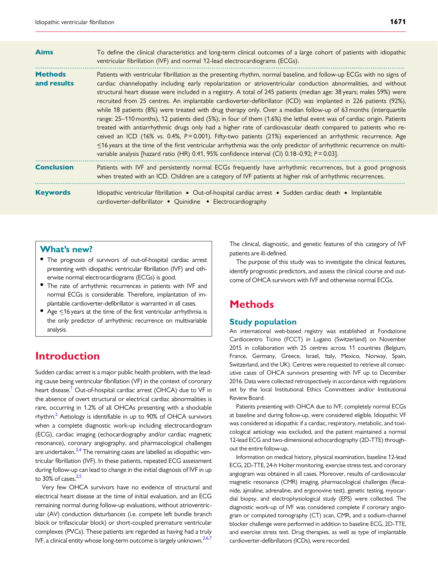<span id="page-1-0"></span>

| <b>Aims</b>                   | To define the clinical characteristics and long-term clinical outcomes of a large cohort of patients with idiopathic<br>ventricular fibrillation (IVF) and normal 12-lead electrocardiograms (ECGs).                                                                                                                                                                                                                                                                                                                                                                                                                                                                                                                                                                                                                                                                                                                                                                                                                                                                                                                                                                                          |
|-------------------------------|-----------------------------------------------------------------------------------------------------------------------------------------------------------------------------------------------------------------------------------------------------------------------------------------------------------------------------------------------------------------------------------------------------------------------------------------------------------------------------------------------------------------------------------------------------------------------------------------------------------------------------------------------------------------------------------------------------------------------------------------------------------------------------------------------------------------------------------------------------------------------------------------------------------------------------------------------------------------------------------------------------------------------------------------------------------------------------------------------------------------------------------------------------------------------------------------------|
| <b>Methods</b><br>and results | Patients with ventricular fibrillation as the presenting rhythm, normal baseline, and follow-up ECGs with no signs of<br>cardiac channelopathy including early repolarization or atrioventricular conduction abnormalities, and without<br>structural heart disease were included in a registry. A total of 245 patients (median age: 38 years; males 59%) were<br>recruited from 25 centres. An implantable cardioverter-defibrillator (ICD) was implanted in 226 patients (92%),<br>while 18 patients (8%) were treated with drug therapy only. Over a median follow-up of 63 months (interquartile<br>range: 25-110 months), 12 patients died (5%); in four of them (1.6%) the lethal event was of cardiac origin. Patients<br>treated with antiarrhythmic drugs only had a higher rate of cardiovascular death compared to patients who re-<br>ceived an ICD (16% vs. 0.4%, P=0.001). Fifty-two patients (21%) experienced an arrhythmic recurrence. Age<br>$\leq$ 16 years at the time of the first ventricular arrhythmia was the only predictor of arrhythmic recurrence on multi-<br>variable analysis [hazard ratio (HR) 0.41, 95% confidence interval (Cl) 0.18–0.92; $P = 0.03$ ]. |
| <b>Conclusion</b>             | Patients with IVF and persistently normal ECGs frequently have arrhythmic recurrences, but a good prognosis<br>when treated with an ICD. Children are a category of IVF patients at higher risk of arrhythmic recurrences.                                                                                                                                                                                                                                                                                                                                                                                                                                                                                                                                                                                                                                                                                                                                                                                                                                                                                                                                                                    |
| <b>Keywords</b>               | Idiopathic ventricular fibrillation • Out-of-hospital cardiac arrest • Sudden cardiac death • Implantable<br>cardioverter-defibrillator . Quinidine . Electrocardiography                                                                                                                                                                                                                                                                                                                                                                                                                                                                                                                                                                                                                                                                                                                                                                                                                                                                                                                                                                                                                     |

### What's new?

- The prognosis of survivors of out-of-hospital cardiac arrest presenting with idiopathic ventricular fibrillation (IVF) and otherwise normal electrocardiograms (ECGs) is good.
- The rate of arrhythmic recurrences in patients with IVF and normal ECGs is considerable. Therefore, implantation of implantable cardioverter-defibrillator is warranted in all cases.
- Age  $\leq$ 16 years at the time of the first ventricular arrhythmia is the only predictor of arrhythmic recurrence on multivariable analysis.

# Introduction

Sudden cardiac arrest is a major public health problem, with the leading cause being ventricular fibrillation (VF) in the context of coronary heart disease.<sup>[1](#page-7-0)</sup> Out-of-hospital cardiac arrest (OHCA) due to VF in the absence of overt structural or electrical cardiac abnormalities is rare, occurring in 1.2% of all OHCAs presenting with a shockable rhythm.<sup>2</sup> Aetiology is identifiable in up to 90% of OHCA survivors when a complete diagnostic work-up including electrocardiogram (ECG), cardiac imaging (echocardiography and/or cardiac magnetic resonance), coronary angiography, and pharmacological challenges are undertaken.<sup>3,4</sup> The remaining cases are labelled as idiopathic ventricular fibrillation (IVF). In these patients, repeated ECG assessment during follow-up can lead to change in the initial diagnosis of IVF in up to  $30\%$  of cases. $2,5$ 

Very few OHCA survivors have no evidence of structural and electrical heart disease at the time of initial evaluation, and an ECG remaining normal during follow-up evaluations, without atrioventricular (AV) conduction disturbances (i.e. compete left bundle branch block or trifascicular block) or short-coupled premature ventricular complexes (PVCs). These patients are regarded as having had a truly IVF, a clinical entity whose long-term outcome is largely unknown.<sup>[2,6,7](#page-7-0)</sup>

The clinical, diagnostic, and genetic features of this category of IVF patients are ill-defined.

The purpose of this study was to investigate the clinical features, identify prognostic predictors, and assess the clinical course and outcome of OHCA survivors with IVF and otherwise normal ECGs.

# **Methods**

#### Study population

An international web-based registry was established at Fondazione Cardiocentro Ticino (FCCT) in Lugano (Switzerland) on November 2015 in collaboration with 25 centres across 11 countries (Belgium, France, Germany, Greece, Israel, Italy, Mexico, Norway, Spain, Switzerland, and the UK). Centres were requested to retrieve all consecutive cases of OHCA survivors presenting with IVF up to December 2016. Data were collected retrospectively in accordance with regulations set by the local Institutional Ethics Committees and/or Institutional Review Board.

Patients presenting with OHCA due to IVF, completely normal ECGs at baseline and during follow-up, were considered eligible. Idiopathic VF was considered as idiopathic if a cardiac, respiratory, metabolic, and toxicological aetiology was excluded, and the patient maintained a normal 12-lead ECG and two-dimensional echocardiography (2D-TTE) throughout the entire follow-up.

Information on medical history, physical examination, baseline 12-lead ECG, 2D-TTE, 24-h Holter monitoring, exercise stress test, and coronary angiogram was obtained in all cases. Moreover, results of cardiovascular magnetic resonance (CMR) imaging, pharmacological challenges (flecainide, ajmaline, adrenaline, and ergonovine test), genetic testing, myocardial biopsy, and electrophysiological study (EPS) were collected. The diagnostic work-up of IVF was considered complete if coronary angiogram or computed tomography (CT) scan, CMR, and a sodium-channel blocker challenge were performed in addition to baseline ECG, 2D-TTE, and exercise stress test. Drug therapies, as well as type of implantable cardioverter-defibrillators (ICDs), were recorded.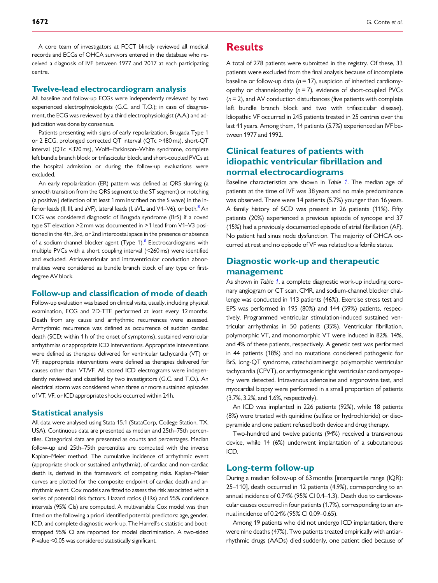<span id="page-2-0"></span>A core team of investigators at FCCT blindly reviewed all medical records and ECGs of OHCA survivors entered in the database who received a diagnosis of IVF between 1977 and 2017 at each participating centre.

#### Twelve-lead electrocardiogram analysis

All baseline and follow-up ECGs were independently reviewed by two experienced electrophysiologists (G.C. and T.O.); in case of disagreement, the ECG was reviewed by a third electrophysiologist (A.A.) and adjudication was done by consensus.

Patients presenting with signs of early repolarization, Brugada Type 1 or 2 ECG, prolonged corrected QT interval (QTc >480 ms), short-QT interval (QTc <320 ms), Wolff–Parkinson–White syndrome, complete left bundle branch block or trifascicular block, and short-coupled PVCs at the hospital admission or during the follow-up evaluations were excluded.

An early repolarization (ER) pattern was defined as QRS slurring (a smooth transition from the QRS segment to the ST segment) or notching (a positive J deflection of at least 1 mm inscribed on the S wave) in the inferior leads (II, III, and aVF), lateral leads (I, aVL, and V4–V6), or both. $8$  An ECG was considered diagnostic of Brugada syndrome (BrS) if a coved type ST elevation  $\geq$ 2 mm was documented in  $\geq$ 1 lead from V1–V3 positioned in the 4th, 3rd, or 2nd intercostal space in the presence or absence of a sodium-channel blocker agent (Type  $1$ ).<sup>8</sup> Electrocardiograms with multiple PVCs with a short coupling interval (<260 ms) were identified and excluded. Atrioventricular and intraventricular conduction abnormalities were considered as bundle branch block of any type or firstdegree AV block.

#### Follow-up and classification of mode of death

Follow-up evaluation was based on clinical visits, usually, including physical examination, ECG and 2D-TTE performed at least every 12 months. Death from any cause and arrhythmic recurrences were assessed. Arrhythmic recurrence was defined as occurrence of sudden cardiac death (SCD; within 1 h of the onset of symptoms), sustained ventricular arrhythmias or appropriate ICD interventions. Appropriate interventions were defined as therapies delivered for ventricular tachycardia (VT) or VF; inappropriate interventions were defined as therapies delivered for causes other than VT/VF. All stored ICD electrograms were independently reviewed and classified by two investigators (G.C. and T.O.). An electrical storm was considered when three or more sustained episodes of VT, VF, or ICD appropriate shocks occurred within 24 h.

#### Statistical analysis

All data were analysed using Stata 15.1 (StataCorp, College Station, TX, USA). Continuous data are presented as median and 25th–75th percentiles. Categorical data are presented as counts and percentages. Median follow-up and 25th–75th percentiles are computed with the inverse Kaplan–Meier method. The cumulative incidence of arrhythmic event (appropriate shock or sustained arrhythmia), of cardiac and non-cardiac death is, derived in the framework of competing risks. Kaplan–Meier curves are plotted for the composite endpoint of cardiac death and arrhythmic event. Cox models are fitted to assess the risk associated with a series of potential risk factors. Hazard ratios (HRs) and 95% confidence intervals (95% CIs) are computed. A multivariable Cox model was then fitted on the following a priori identified potential predictors: age, gender, ICD, and complete diagnostic work-up. The Harrell's c statistic and bootstrapped 95% CI are reported for model discrimination. A two-sided P-value <0.05 was considered statistically significant.

### **Results**

A total of 278 patients were submitted in the registry. Of these, 33 patients were excluded from the final analysis because of incomplete baseline or follow-up data ( $n = 17$ ), suspicion of inherited cardiomyopathy or channelopathy  $(n=7)$ , evidence of short-coupled PVCs  $(n= 2)$ , and AV conduction disturbances (five patients with complete left bundle branch block and two with trifascicular disease). Idiopathic VF occurred in 245 patients treated in 25 centres over the last 41 years. Among them, 14 patients (5.7%) experienced an IVF between 1977 and 1992.

### Clinical features of patients with idiopathic ventricular fibrillation and normal electrocardiograms

Baseline characteristics are shown in Table [1](#page-3-0). The median age of patients at the time of IVF was 38 years and no male predominance was observed. There were 14 patients (5.7%) younger than 16 years. A family history of SCD was present in 26 patients (11%). Fifty patients (20%) experienced a previous episode of syncope and 37 (15%) had a previously documented episode of atrial fibrillation (AF). No patient had sinus node dysfunction. The majority of OHCA occurred at rest and no episode of VF was related to a febrile status.

# Diagnostic work-up and therapeutic management

As shown in Table [1](#page-3-0), a complete diagnostic work-up including coronary angiogram or CT scan, CMR, and sodium-channel blocker challenge was conducted in 113 patients (46%). Exercise stress test and EPS was performed in 195 (80%) and 144 (59%) patients, respectively. Programmed ventricular stimulation-induced sustained ventricular arrhythmias in 50 patients (35%). Ventricular fibrillation, polymorphic VT, and monomorphic VT were induced in 82%, 14%, and 4% of these patients, respectively. A genetic test was performed in 44 patients (18%) and no mutations considered pathogenic for BrS, long-QT syndrome, catecholaminergic polymorphic ventricular tachycardia (CPVT), or arrhytmogenic right ventricular cardiomyopathy were detected. Intravenous adenosine and ergonovine test, and myocardial biopsy were performed in a small proportion of patients (3.7%, 3.2%, and 1.6%, respectively).

An ICD was implanted in 226 patients (92%), while 18 patients (8%) were treated with quinidine (sulfate or hydrochloride) or disopyramide and one patient refused both device and drug therapy.

Two-hundred and twelve patients (94%) received a transvenous device, while 14 (6%) underwent implantation of a subcutaneous ICD.

#### Long-term follow-up

During a median follow-up of 63 months [interquartile range (IQR): 25–110], death occurred in 12 patients (4.9%), corresponding to an annual incidence of 0.74% (95% CI 0.4–1.3). Death due to cardiovascular causes occurred in four patients (1.7%), corresponding to an annual incidence of 0.24% (95% CI 0.09–0.65).

Among 19 patients who did not undergo ICD implantation, there were nine deaths (47%). Two patients treated empirically with antiarrhythmic drugs (AADs) died suddenly, one patient died because of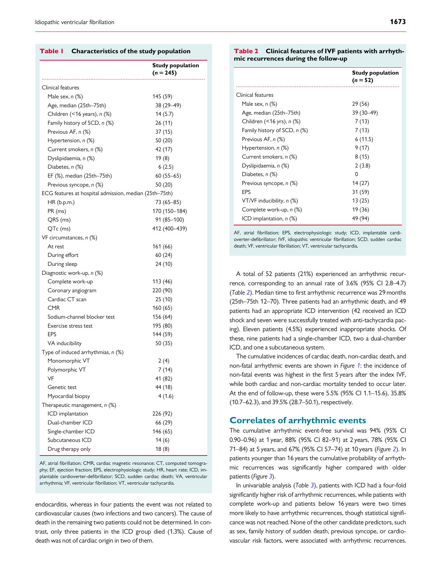#### <span id="page-3-0"></span>Table | Characteristics of the study population

|                                                        | <b>Study population</b><br>$(n = 245)$ |
|--------------------------------------------------------|----------------------------------------|
| Clinical features                                      |                                        |
| Male sex, $n$ $(\%)$                                   | 145 (59)                               |
| Age, median (25th–75th)                                | 38 (29-49)                             |
| Children $($ < 16 years), $n$ $%$                      | 14(5.7)                                |
| Family history of SCD, n (%)                           | 26 (11)                                |
| Previous AF, n (%)                                     | 37 (15)                                |
| Hypertension, n (%)                                    | 50 (20)                                |
| Current smokers, n (%)                                 | 42 (17)                                |
| Dyslipidaemia, n (%)                                   | 19 (8)                                 |
| Diabetes, n (%)                                        | 6(2.5)                                 |
| EF (%), median (25th–75th)                             | $60(55 - 65)$                          |
| Previous syncope, n (%)                                | 50 (20)                                |
| ECG features at hospital admission, median (25th–75th) |                                        |
| HR (b.p.m.)                                            | 73 (65-85)                             |
| PR (ms)                                                | 170 (150-184)                          |
| QRS (ms)                                               | 91 (85-100)                            |
| QTc (ms)                                               | 412 (400–439)                          |
| VF circumstances, n (%)                                |                                        |
| At rest                                                | 161 (66)                               |
| During effort                                          | 60(24)                                 |
| During sleep                                           | 24 (10)                                |
| Diagnostic work-up, n (%)                              |                                        |
| Complete work-up                                       | 113 (46)                               |
| Coronary angiogram                                     | 220 (90)                               |
| Cardiac CT scan                                        | 25 (10)                                |
| <b>CMR</b>                                             | 160 (65)                               |
| Sodium-channel blocker test                            | 156 (64)                               |
| Exercise stress test                                   | 195 (80)                               |
| EPS                                                    | 144 (59)                               |
| VA inducibility                                        | 50 (35)                                |
| Type of induced arrhythmias, n (%)                     |                                        |
| Monomorphic VT                                         | 2(4)                                   |
| Polymorphic VT                                         | 7 (14)                                 |
| VF                                                     | 41 (82)                                |
| Genetic test                                           | 44 (18)                                |
| Myocardial biopsy                                      | 4(1.6)                                 |
| Therapeutic management, n (%)                          |                                        |
| ICD implantation                                       | 226 (92)                               |
| Dual-chamber ICD                                       | 66 (29)                                |
| Single-chamber ICD                                     | 146 (65)                               |
| Subcutaneous ICD                                       | 14(6)                                  |
| Drug therapy only                                      | 18(8)                                  |

AF, atrial fibrillation; CMR, cardiac magnetic resonance; CT, computed tomography; EF, ejection fraction; EPS, electrophysiologic study; HR, heart rate; ICD, implantable cardioverter-defibrillator; SCD, sudden cardiac death; VA, ventricular arrhythmia; VF, ventricular fibrillation; VT, ventricular tachycardia.

endocarditis, whereas in four patients the event was not related to cardiovascular causes (two infections and two cancers). The cause of death in the remaining two patients could not be determined. In contrast, only three patients in the ICD group died (1.3%). Cause of death was not of cardiac origin in two of them.

#### Table 2 Clinical features of IVF patients with arrhythmic recurrences during the follow-up

|                              | <b>Study population</b><br>$(n = 52)$ |  |  |
|------------------------------|---------------------------------------|--|--|
| Clinical features            |                                       |  |  |
| Male sex, $n$ $(\%)$         | 29 (56)                               |  |  |
| Age, median (25th–75th)      | 39 (30–49)                            |  |  |
| Children (<16 yrs), n (%)    | 7(13)                                 |  |  |
| Family history of SCD, n (%) | 7(13)                                 |  |  |
| Previous AF, n (%)           | 6(11.5)                               |  |  |
| Hypertension, n (%)          | 9(17)                                 |  |  |
| Current smokers, n (%)       | 8(15)                                 |  |  |
| Dyslipidaemia, n (%)         | 2(3.8)                                |  |  |
| Diabetes, n (%)              | $\Omega$                              |  |  |
| Previous syncope, n (%)      | 14 (27)                               |  |  |
| <b>FPS</b>                   | 31 (59)                               |  |  |
| VT/VF inducibility, n (%)    | 13(25)                                |  |  |
| Complete work-up, n (%)      | 19 (36)                               |  |  |
| ICD implantation, $n$ (%)    | 49 (94)                               |  |  |

AF, atrial fibrillation; EPS, electrophysiologic study; ICD, implantable cardioverter-defibrillator; IVF, idiopathic ventricular fibrillation; SCD, sudden cardiac death; VF, ventricular fibrillation; VT, ventricular tachycardia.

A total of 52 patients (21%) experienced an arrhythmic recurrence, corresponding to an annual rate of 3.6% (95% CI 2.8–4.7) (Table 2). Median time to first arrhythmic recurrence was 29 months (25th–75th 12–70). Three patients had an arrhythmic death, and 49 patients had an appropriate ICD intervention (42 received an ICD shock and seven were successfully treated with anti-tachycardia pacing). Eleven patients (4.5%) experienced inappropriate shocks. Of these, nine patients had a single-chamber ICD, two a dual-chamber ICD, and one a subcutaneous system.

The cumulative incidences of cardiac death, non-cardiac death, and non-fatal arrhythmic events are shown in Figure [1](#page-4-0): the incidence of non-fatal events was highest in the first 5 years after the index IVF, while both cardiac and non-cardiac mortality tended to occur later. At the end of follow-up, these were 5.5% (95% CI 1.1–15.6), 35.8% (10.7–62.3), and 39.5% (28.7–50.1), respectively.

#### Correlates of arrhythmic events

The cumulative arrhythmic event-free survival was 94% (95% CI 0.90–0.96) at 1 year, 88% (95% CI 82–91) at 2 years, 78% (95% CI 71–84) at 5 years, and 67% (95% CI 57–74) at 10 years (Figure [2](#page-4-0)). In patients younger than 16 years the cumulative probability of arrhythmic recurrences was significantly higher compared with older patients (Figure [3](#page-4-0)).

In univariable analysis (Table  $3$ ), patients with ICD had a four-fold significantly higher risk of arrhythmic recurrences, while patients with complete work-up and patients below 16 years were two times more likely to have arrhythmic recurrences, though statistical significance was not reached. None of the other candidate predictors, such as sex, family history of sudden death, previous syncope, or cardiovascular risk factors, were associated with arrhythmic recurrences.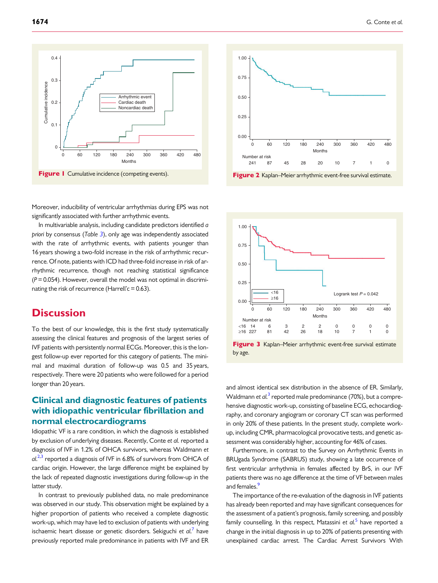<span id="page-4-0"></span>



In multivariable analysis, including candidate predictors identified a priori by consensus (Table [3](#page-5-0)), only age was independently associated with the rate of arrhythmic events, with patients younger than 16 years showing a two-fold increase in the risk of arrhythmic recurrence. Of note, patients with ICD had three-fold increase in risk of arrhythmic recurrence, though not reaching statistical significance  $(P = 0.054)$ . However, overall the model was not optimal in discriminating the risk of recurrence (Harrell'c =  $0.63$ ).

# **Discussion**

To the best of our knowledge, this is the first study systematically assessing the clinical features and prognosis of the largest series of IVF patients with persistently normal ECGs. Moreover, this is the longest follow-up ever reported for this category of patients. The minimal and maximal duration of follow-up was 0.5 and 35 years, respectively. There were 20 patients who were followed for a period longer than 20 years.

# Clinical and diagnostic features of patients with idiopathic ventricular fibrillation and normal electrocardiograms

Idiopathic VF is a rare condition, in which the diagnosis is established by exclusion of underlying diseases. Recently, Conte et al. reported a diagnosis of IVF in 1.2% of OHCA survivors, whereas Waldmann et al.<sup>[2,3](#page-7-0)</sup> reported a diagnosis of IVF in 6.8% of survivors from OHCA of cardiac origin. However, the large difference might be explained by the lack of repeated diagnostic investigations during follow-up in the latter study.

In contrast to previously published data, no male predominance was observed in our study. This observation might be explained by a higher proportion of patients who received a complete diagnostic work-up, which may have led to exclusion of patients with underlying ischaemic heart disease or genetic disorders. Sekiguchi et al.<sup>[7](#page-7-0)</sup> have previously reported male predominance in patients with IVF and ER



Figure 2 Kaplan–Meier arrhythmic event-free survival estimate.



Figure 3 Kaplan–Meier arrhythmic event-free survival estimate by age.

and almost identical sex distribution in the absence of ER. Similarly, Waldmann et al.<sup>[3](#page-7-0)</sup> reported male predominance (70%), but a comprehensive diagnostic work-up, consisting of baseline ECG, echocardiography, and coronary angiogram or coronary CT scan was performed in only 20% of these patients. In the present study, complete workup, including CMR, pharmacological provocative tests, and genetic assessment was considerably higher, accounting for 46% of cases.

Furthermore, in contrast to the Survey on Arrhythmic Events in BRUgada Syndrome (SABRUS) study, showing a late occurrence of first ventricular arrhythmia in females affected by BrS, in our IVF patients there was no age difference at the time of VF between males and females.<sup>9</sup>

The importance of the re-evaluation of the diagnosis in IVF patients has already been reported and may have significant consequences for the assessment of a patient's prognosis, family screening, and possibly family counselling. In this respect, Matassini et al.<sup>[5](#page-7-0)</sup> have reported a change in the initial diagnosis in up to 20% of patients presenting with unexplained cardiac arrest. The Cardiac Arrest Survivors With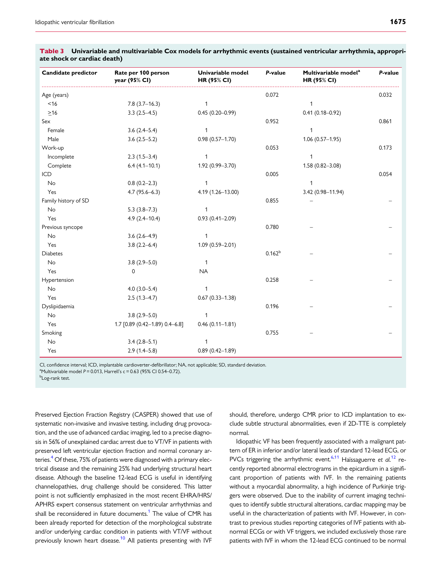| Candidate predictor  | Rate per 100 person<br>year (95% CI) | Univariable model<br><b>HR (95% CI)</b> | P-value     | Multivariable model <sup>a</sup><br><b>HR (95% CI)</b> | P-value |
|----------------------|--------------------------------------|-----------------------------------------|-------------|--------------------------------------------------------|---------|
| Age (years)          |                                      |                                         | 0.072       |                                                        | 0.032   |
| $<$ 16               | $7.8(3.7-16.3)$                      | $\mathbf{1}$                            |             | $\mathbf{1}$                                           |         |
| $\geq$ 16            | $3.3(2.5-4.5)$                       | $0.45(0.20 - 0.99)$                     |             | $0.41(0.18 - 0.92)$                                    |         |
| Sex                  |                                      |                                         | 0.952       |                                                        | 0.861   |
| Female               | $3.6(2.4 - 5.4)$                     | $\mathbf{1}$                            |             | $\mathbf{1}$                                           |         |
| Male                 | $3.6(2.5-5.2)$                       | $0.98(0.57 - 1.70)$                     |             | $1.06(0.57-1.95)$                                      |         |
| Work-up              |                                      |                                         | 0.053       |                                                        | 0.173   |
| Incomplete           | $2.3(1.5-3.4)$                       | 1                                       |             | 1                                                      |         |
| Complete             | $6.4(4.1-10.1)$                      | 1.92 (0.99-3.70)                        |             | $1.58(0.82 - 3.08)$                                    |         |
| ICD                  |                                      |                                         | 0.005       |                                                        | 0.054   |
| No                   | $0.8(0.2 - 2.3)$                     | $\mathbf{1}$                            |             | 1                                                      |         |
| Yes                  | $4.7(95.6 - 6.3)$                    | 4.19 (1.26-13.00)                       |             | 3.42 (0.98-11.94)                                      |         |
| Family history of SD |                                      |                                         | 0.855       |                                                        |         |
| No                   | $5.3(3.8-7.3)$                       | 1                                       |             |                                                        |         |
| Yes                  | $4.9(2.4 - 10.4)$                    | $0.93(0.41 - 2.09)$                     |             |                                                        |         |
| Previous syncope     |                                      |                                         | 0.780       |                                                        |         |
| <b>No</b>            | $3.6(2.6-4.9)$                       | 1                                       |             |                                                        |         |
| Yes                  | $3.8(2.2 - 6.4)$                     | $1.09(0.59 - 2.01)$                     |             |                                                        |         |
| <b>Diabetes</b>      |                                      |                                         | $0.162^{b}$ |                                                        |         |
| No                   | $3.8(2.9 - 5.0)$                     | $\mathbf{1}$                            |             |                                                        |         |
| Yes                  | 0                                    | <b>NA</b>                               |             |                                                        |         |
| Hypertension         |                                      |                                         | 0.258       |                                                        |         |
| No                   | $4.0(3.0-5.4)$                       | $\mathbf{1}$                            |             |                                                        |         |
| Yes                  | $2.5(1.3-4.7)$                       | $0.67(0.33 - 1.38)$                     |             |                                                        |         |
| Dyslipidaemia        |                                      |                                         | 0.196       |                                                        |         |
| No                   | $3.8(2.9 - 5.0)$                     | $\mathbf{1}$                            |             |                                                        |         |
| Yes                  | 1.7 [0.89 (0.42-1.89) 0.4-6.8]       | $0.46(0.11 - 1.81)$                     |             |                                                        |         |
| Smoking              |                                      |                                         | 0.755       |                                                        |         |
| No                   | $3.4(2.8-5.1)$                       | $\mathbf{1}$                            |             |                                                        |         |
| Yes                  | $2.9(1.4 - 5.8)$                     | $0.89(0.42 - 1.89)$                     |             |                                                        |         |

<span id="page-5-0"></span>

| Table 3 Univariable and multivariable Cox models for arrhythmic events (sustained ventricular arrhythmia, appropri- |  |  |  |
|---------------------------------------------------------------------------------------------------------------------|--|--|--|
| ate shock or cardiac death)                                                                                         |  |  |  |

CI, confidence interval; ICD, implantable cardioverter-defibrillator; NA, not applicable; SD, standard deviation.

<sup>a</sup>Multivariable model  $P = 0.013$ , Harrell's c = 0.63 (95% CI 0.54–0.72).

<sup>b</sup>Log-rank test.

Preserved Ejection Fraction Registry (CASPER) showed that use of systematic non-invasive and invasive testing, including drug provocation, and the use of advanced cardiac imaging, led to a precise diagnosis in 56% of unexplained cardiac arrest due to VT/VF in patients with preserved left ventricular ejection fraction and normal coronary arteries.<sup>4</sup> Of these, 75% of patients were diagnosed with a primary electrical disease and the remaining 25% had underlying structural heart disease. Although the baseline 12-lead ECG is useful in identifying channelopathies, drug challenge should be considered. This latter point is not sufficiently emphasized in the most recent EHRA/HRS/ APHRS expert consensus statement on ventricular arrhythmias and shall be reconsidered in future documents.<sup>1</sup> The value of CMR has been already reported for detection of the morphological substrate and/or underlying cardiac condition in patients with VT/VF without previously known heart disease.<sup>10</sup> All patients presenting with IVF

should, therefore, undergo CMR prior to ICD implantation to exclude subtle structural abnormalities, even if 2D-TTE is completely normal.

Idiopathic VF has been frequently associated with a malignant pattern of ER in inferior and/or lateral leads of standard 12-lead ECG, or PVCs triggering the arrhythmic event.<sup>6,[11](#page-7-0)</sup> Haïssaguerre et  $al$ .<sup>[12](#page-7-0)</sup> recently reported abnormal electrograms in the epicardium in a significant proportion of patients with IVF. In the remaining patients without a myocardial abnormality, a high incidence of Purkinje triggers were observed. Due to the inability of current imaging techniques to identify subtle structural alterations, cardiac mapping may be useful in the characterization of patients with IVF. However, in contrast to previous studies reporting categories of IVF patients with abnormal ECGs or with VF triggers, we included exclusively those rare patients with IVF in whom the 12-lead ECG continued to be normal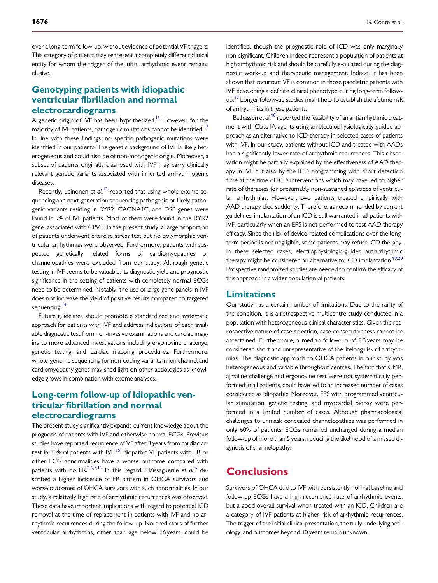<span id="page-6-0"></span>over a long-term follow-up, without evidence of potential VF triggers. This category of patients may represent a completely different clinical entity for whom the trigger of the initial arrhythmic event remains elusive.

# Genotyping patients with idiopathic ventricular fibrillation and normal electrocardiograms

A genetic origin of IVF has been hypothesized.<sup>13</sup> However, for the majority of IVF patients, pathogenic mutations cannot be identified.<sup>13</sup> In line with these findings, no specific pathogenic mutations were identified in our patients. The genetic background of IVF is likely heterogeneous and could also be of non-monogenic origin. Moreover, a subset of patients originally diagnosed with IVF may carry clinically relevant genetic variants associated with inherited arrhythmogenic diseases.

Recently, Leinonen et al.<sup>[13](#page-7-0)</sup> reported that using whole-exome sequencing and next-generation sequencing pathogenic or likely pathogenic variants residing in RYR2, CACNA1C, and DSP genes were found in 9% of IVF patients. Most of them were found in the RYR2 gene, associated with CPVT. In the present study, a large proportion of patients underwent exercise stress test but no polymorphic ventricular arrhythmias were observed. Furthermore, patients with suspected genetically related forms of cardiomyopathies or channelopathies were excluded from our study. Although genetic testing in IVF seems to be valuable, its diagnostic yield and prognostic significance in the setting of patients with completely normal ECGs need to be determined. Notably, the use of large gene panels in IVF does not increase the yield of positive results compared to targeted sequencing.<sup>[14](#page-7-0)</sup>

Future guidelines should promote a standardized and systematic approach for patients with IVF and address indications of each available diagnostic test from non-invasive examinations and cardiac imaging to more advanced investigations including ergonovine challenge, genetic testing, and cardiac mapping procedures. Furthermore, whole-genome sequencing for non-coding variants in ion channel and cardiomyopathy genes may shed light on other aetiologies as knowledge grows in combination with exome analyses.

# Long-term follow-up of idiopathic ventricular fibrillation and normal electrocardiograms

The present study significantly expands current knowledge about the prognosis of patients with IVF and otherwise normal ECGs. Previous studies have reported recurrence of VF after 3 years from cardiac arrest in 30% of patients with IVF.<sup>15</sup> Idiopathic VF patients with ER or other ECG abnormalities have a worse outcome compared with patients with no ER.<sup>[2,6](#page-7-0),[7,16](#page-7-0)</sup> In this regard, Haïssaguerre et al.<sup>[6](#page-7-0)</sup> described a higher incidence of ER pattern in OHCA survivors and worse outcomes of OHCA survivors with such abnormalities. In our study, a relatively high rate of arrhythmic recurrences was observed. These data have important implications with regard to potential ICD removal at the time of replacement in patients with IVF and no arrhythmic recurrences during the follow-up. No predictors of further ventricular arrhythmias, other than age below 16 years, could be

identified, though the prognostic role of ICD was only marginally non-significant. Children indeed represent a population of patients at high arrhythmic risk and should be carefully evaluated during the diagnostic work-up and therapeutic management. Indeed, it has been shown that recurrent VF is common in those paediatric patients with IVF developing a definite clinical phenotype during long-term followup.<sup>17</sup> Longer follow-up studies might help to establish the lifetime risk of arrhythmias in these patients.

Belhassen et al.<sup>[18](#page-7-0)</sup> reported the feasibility of an antiarrhythmic treatment with Class IA agents using an electrophysiologically guided approach as an alternative to ICD therapy in selected cases of patients with IVF. In our study, patients without ICD and treated with AADs had a significantly lower rate of arrhythmic recurrences. This observation might be partially explained by the effectiveness of AAD therapy in IVF but also by the ICD programming with short detection time at the time of ICD interventions which may have led to higher rate of therapies for presumably non-sustained episodes of ventricular arrhythmias. However, two patients treated empirically with AAD therapy died suddenly. Therefore, as recommended by current guidelines, implantation of an ICD is still warranted in all patients with IVF, particularly when an EPS is not performed to test AAD therapy efficacy. Since the risk of device-related complications over the longterm period is not negligible, some patients may refuse ICD therapy. In these selected cases, electrophysiologic-guided antiarrhythmic therapy might be considered an alternative to ICD implantation.<sup>19,20</sup> Prospective randomized studies are needed to confirm the efficacy of this approach in a wider population of patients.

#### Limitations

Our study has a certain number of limitations. Due to the rarity of the condition, it is a retrospective multicentre study conducted in a population with heterogeneous clinical characteristics. Given the retrospective nature of case selection, case consecutiveness cannot be ascertained. Furthermore, a median follow-up of 5.3 years may be considered short and unrepresentative of the lifelong risk of arrhythmias. The diagnostic approach to OHCA patients in our study was heterogeneous and variable throughout centres. The fact that CMR, ajmaline challenge and ergonovine test were not systematically performed in all patients, could have led to an increased number of cases considered as idiopathic. Moreover, EPS with programmed ventricular stimulation, genetic testing, and myocardial biopsy were performed in a limited number of cases. Although pharmacological challenges to unmask concealed channelopathies was performed in only 60% of patients, ECGs remained unchanged during a median follow-up of more than 5 years, reducing the likelihood of a missed diagnosis of channelopathy.

# **Conclusions**

Survivors of OHCA due to IVF with persistently normal baseline and follow-up ECGs have a high recurrence rate of arrhythmic events, but a good overall survival when treated with an ICD. Children are a category of IVF patients at higher risk of arrhythmic recurrences. The trigger of the initial clinical presentation, the truly underlying aetiology, and outcomes beyond 10 years remain unknown.